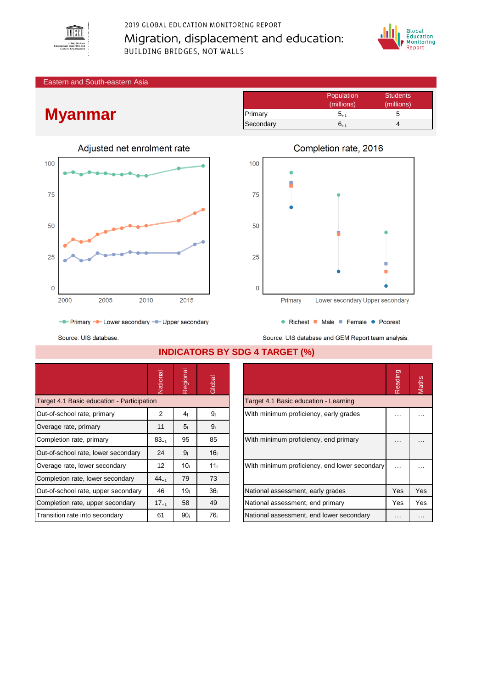

2019 GLOBAL EDUCATION MONITORING REPORT Migration, displacement and education: **BUILDING BRIDGES, NOT WALLS** 



Eastern and South-eastern Asia

## **Myanmar**



|           | Population | <b>Students</b> |
|-----------|------------|-----------------|
|           | (millions) | (millions)      |
| Primary   | $5_{+1}$   |                 |
| Secondary | 6.1        |                 |



- Primary - Lower secondary - Upper secondary

Source: UIS database.

National<br>Regional<br>Global Target 4.1 Basic education - Participation Out-of-school rate, primary  $2 \begin{vmatrix} 2 & 4_i \end{vmatrix}$  9<sub>i</sub> Overage rate, primary 11 5ᵢ 9ᵢ Completion rate, primary  $83_{-1}$  |  $95$  |  $85$ Out-of-school rate, lower secondary  $\begin{array}{|c|c|c|c|c|c|c|c|c|} \hline \end{array}$  9; 16 Overage rate, lower secondary  $\begin{vmatrix} 1 & 12 & 10_i \\ -1 & 10_i & 11_i \end{vmatrix}$ Completion rate, lower secondary  $\begin{array}{|c|c|c|c|c|c|c|c|c|} \hline \end{array}$  73 73 Out-of-school rate, upper secondary  $\begin{vmatrix} 46 & 19_i \\ 1 & 36_i \end{vmatrix}$ Completion rate, upper secondary  $\begin{array}{|c|c|c|c|c|c|} \hline \end{array}$  17 $_{-1}$  | 58 | 49 Transition rate into secondary  $\begin{array}{|c|c|c|c|c|c|c|c|c|} \hline \text{1} & \text{90}_i & \text{76}_i \\\hline \end{array}$ 

**INDICATORS BY SDG 4 TARGET (%)**

|                                               | Reading | laths |
|-----------------------------------------------|---------|-------|
| Target 4.1 Basic education - Learning         |         |       |
| With minimum proficiency, early grades        |         |       |
| With minimum proficiency, end primary         |         |       |
| With minimum proficiency, end lower secondary |         |       |
| National assessment, early grades             | Yes     | Yes   |
| National assessment, end primary              | Yes     | Yes   |
| National assessment, end lower secondary      |         |       |

| • Richest • Male • Female • Poorest                |
|----------------------------------------------------|
| Source: UIS database and GEM Report team analysis. |